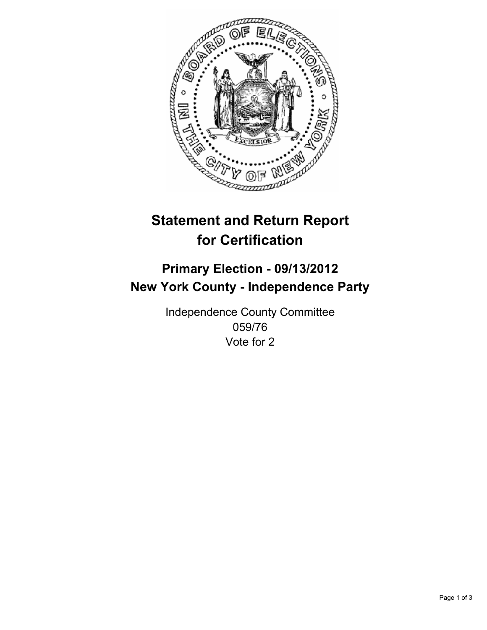

# **Statement and Return Report for Certification**

# **Primary Election - 09/13/2012 New York County - Independence Party**

Independence County Committee 059/76 Vote for 2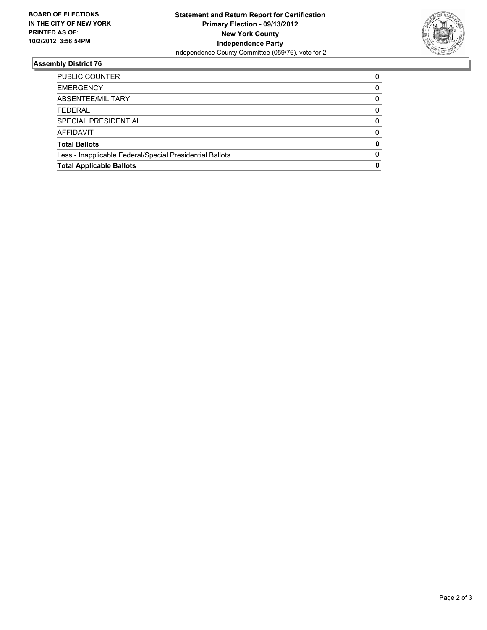

## **Assembly District 76**

| <b>PUBLIC COUNTER</b>                                    | 0        |
|----------------------------------------------------------|----------|
| <b>EMERGENCY</b>                                         | 0        |
| ABSENTEE/MILITARY                                        | 0        |
| <b>FEDERAL</b>                                           | 0        |
| SPECIAL PRESIDENTIAL                                     | $\Omega$ |
| <b>AFFIDAVIT</b>                                         | 0        |
| <b>Total Ballots</b>                                     | 0        |
| Less - Inapplicable Federal/Special Presidential Ballots | $\Omega$ |
| <b>Total Applicable Ballots</b>                          | 0        |